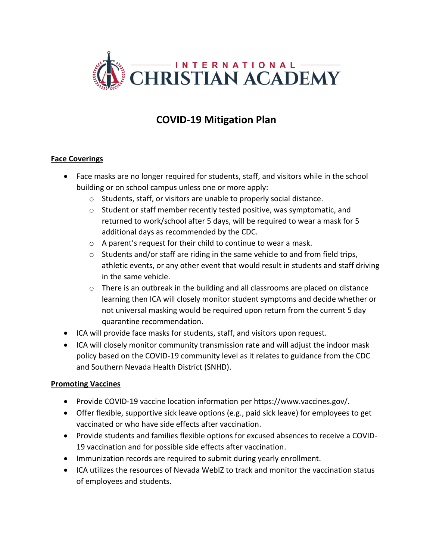

# **COVID-19 Mitigation Plan**

#### **Face Coverings**

- Face masks are no longer required for students, staff, and visitors while in the school building or on school campus unless one or more apply:
	- o Students, staff, or visitors are unable to properly social distance.
	- o Student or staff member recently tested positive, was symptomatic, and returned to work/school after 5 days, will be required to wear a mask for 5 additional days as recommended by the CDC.
	- o A parent's request for their child to continue to wear a mask.
	- o Students and/or staff are riding in the same vehicle to and from field trips, athletic events, or any other event that would result in students and staff driving in the same vehicle.
	- o There is an outbreak in the building and all classrooms are placed on distance learning then ICA will closely monitor student symptoms and decide whether or not universal masking would be required upon return from the current 5 day quarantine recommendation.
- ICA will provide face masks for students, staff, and visitors upon request.
- ICA will closely monitor community transmission rate and will adjust the indoor mask policy based on the COVID-19 community level as it relates to guidance from the CDC and Southern Nevada Health District (SNHD).

#### **Promoting Vaccines**

- Provide COVID-19 vaccine location information per https://www.vaccines.gov/.
- Offer flexible, supportive sick leave options (e.g., paid sick leave) for employees to get vaccinated or who have side effects after vaccination.
- Provide students and families flexible options for excused absences to receive a COVID-19 vaccination and for possible side effects after vaccination.
- Immunization records are required to submit during yearly enrollment.
- ICA utilizes the resources of Nevada WebIZ to track and monitor the vaccination status of employees and students.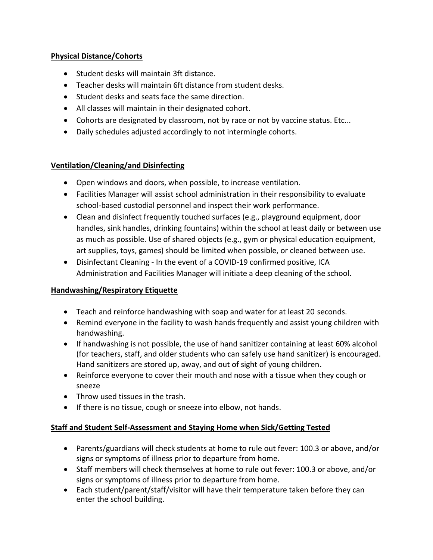#### **Physical Distance/Cohorts**

- Student desks will maintain 3ft distance.
- Teacher desks will maintain 6ft distance from student desks.
- Student desks and seats face the same direction.
- All classes will maintain in their designated cohort.
- Cohorts are designated by classroom, not by race or not by vaccine status. Etc...
- Daily schedules adjusted accordingly to not intermingle cohorts.

# **Ventilation/Cleaning/and Disinfecting**

- Open windows and doors, when possible, to increase ventilation.
- Facilities Manager will assist school administration in their responsibility to evaluate school-based custodial personnel and inspect their work performance.
- Clean and disinfect frequently touched surfaces (e.g., playground equipment, door handles, sink handles, drinking fountains) within the school at least daily or between use as much as possible. Use of shared objects (e.g., gym or physical education equipment, art supplies, toys, games) should be limited when possible, or cleaned between use.
- Disinfectant Cleaning In the event of a COVID-19 confirmed positive, ICA Administration and Facilities Manager will initiate a deep cleaning of the school.

# **Handwashing/Respiratory Etiquette**

- Teach and reinforce handwashing with soap and water for at least 20 seconds.
- Remind everyone in the facility to wash hands frequently and assist young children with handwashing.
- If handwashing is not possible, the use of hand sanitizer containing at least 60% alcohol (for teachers, staff, and older students who can safely use hand sanitizer) is encouraged. Hand sanitizers are stored up, away, and out of sight of young children.
- Reinforce everyone to cover their mouth and nose with a tissue when they cough or sneeze
- Throw used tissues in the trash.
- If there is no tissue, cough or sneeze into elbow, not hands.

# **Staff and Student Self-Assessment and Staying Home when Sick/Getting Tested**

- Parents/guardians will check students at home to rule out fever: 100.3 or above, and/or signs or symptoms of illness prior to departure from home.
- Staff members will check themselves at home to rule out fever: 100.3 or above, and/or signs or symptoms of illness prior to departure from home.
- Each student/parent/staff/visitor will have their temperature taken before they can enter the school building.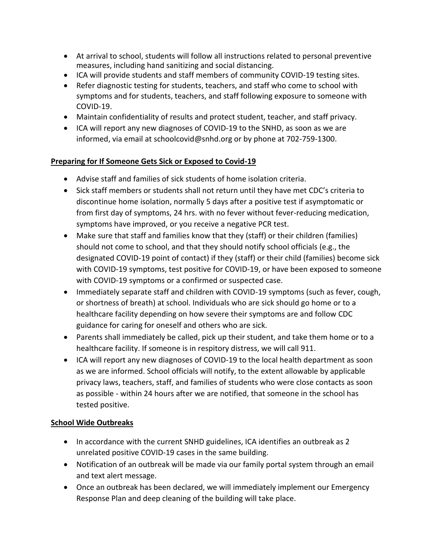- At arrival to school, students will follow all instructions related to personal preventive measures, including hand sanitizing and social distancing.
- ICA will provide students and staff members of community COVID-19 testing sites.
- Refer diagnostic testing for students, teachers, and staff who come to school with symptoms and for students, teachers, and staff following exposure to someone with COVID-19.
- Maintain confidentiality of results and protect student, teacher, and staff privacy.
- ICA will report any new diagnoses of COVID-19 to the SNHD, as soon as we are informed, via email at schoolcovid@snhd.org or by phone at 702-759-1300.

# **Preparing for If Someone Gets Sick or Exposed to Covid-19**

- Advise staff and families of sick students of home isolation criteria.
- Sick staff members or students shall not return until they have met CDC's criteria to discontinue home isolation, normally 5 days after a positive test if asymptomatic or from first day of symptoms, 24 hrs. with no fever without fever-reducing medication, symptoms have improved, or you receive a negative PCR test.
- Make sure that staff and families know that they (staff) or their children (families) should not come to school, and that they should notify school officials (e.g., the designated COVID-19 point of contact) if they (staff) or their child (families) become sick with COVID-19 symptoms, test positive for COVID-19, or have been exposed to someone with COVID-19 symptoms or a confirmed or suspected case.
- Immediately separate staff and children with COVID-19 symptoms (such as fever, cough, or shortness of breath) at school. Individuals who are sick should go home or to a healthcare facility depending on how severe their symptoms are and follow CDC guidance for caring for oneself and others who are sick.
- Parents shall immediately be called, pick up their student, and take them home or to a healthcare facility. If someone is in respitory distress, we will call 911.
- ICA will report any new diagnoses of COVID-19 to the local health department as soon as we are informed. School officials will notify, to the extent allowable by applicable privacy laws, teachers, staff, and families of students who were close contacts as soon as possible - within 24 hours after we are notified, that someone in the school has tested positive.

# **School Wide Outbreaks**

- In accordance with the current SNHD guidelines, ICA identifies an outbreak as 2 unrelated positive COVID-19 cases in the same building.
- Notification of an outbreak will be made via our family portal system through an email and text alert message.
- Once an outbreak has been declared, we will immediately implement our Emergency Response Plan and deep cleaning of the building will take place.